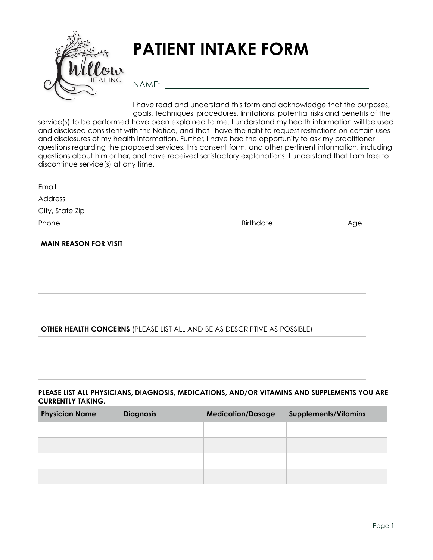

# **PATIENT INTAKE FORM**

NAME:

I have read and understand this form and acknowledge that the purposes, goals, techniques, procedures, limitations, potential risks and benefits of the service(s) to be performed have been explained to me. I understand my health information will be used and disclosed consistent with this Notice, and that I have the right to request restrictions on certain uses and disclosures of my health information. Further, I have had the opportunity to ask my practitioner questions regarding the proposed services, this consent form, and other pertinent information, including questions about him or her, and have received satisfactory explanations. I understand that I am free to discontinue service(s) at any time.

| Email                        |                                                                           |      |
|------------------------------|---------------------------------------------------------------------------|------|
| Address                      |                                                                           |      |
| City, State Zip              |                                                                           |      |
| Phone                        | Birthdate                                                                 | Age_ |
| <b>MAIN REASON FOR VISIT</b> |                                                                           |      |
|                              |                                                                           |      |
|                              |                                                                           |      |
|                              |                                                                           |      |
|                              |                                                                           |      |
|                              |                                                                           |      |
|                              | OTHER HEALTH CONCERNS (PLEASE LIST ALL AND BE AS DESCRIPTIVE AS POSSIBLE) |      |
|                              |                                                                           |      |
|                              |                                                                           |      |

#### **PLEASE LIST ALL PHYSICIANS, DIAGNOSIS, MEDICATIONS, AND/OR VITAMINS AND SUPPLEMENTS YOU ARE CURRENTLY TAKING.**

| <b>Physician Name</b> | <b>Diagnosis</b> | <b>Medication/Dosage</b> | <b>Supplements/Vitamins</b> |
|-----------------------|------------------|--------------------------|-----------------------------|
|                       |                  |                          |                             |
|                       |                  |                          |                             |
|                       |                  |                          |                             |
|                       |                  |                          |                             |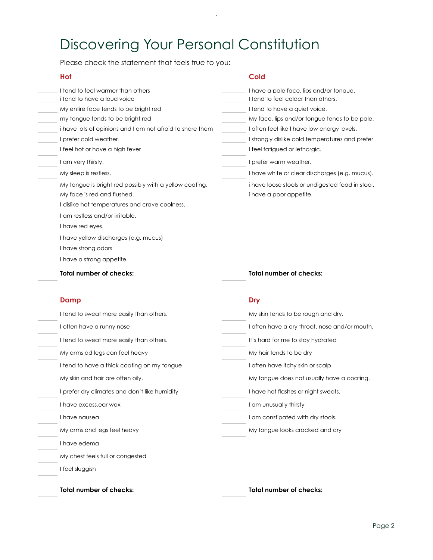# Discovering Your Personal Constitution

 $\bar{z}$ 

Please check the statement that feels true to you:

| Hot                                                       | Cold                                             |
|-----------------------------------------------------------|--------------------------------------------------|
| I tend to feel warmer than others                         | I have a pale face, lips and/or tonaue.          |
| i tend to have a loud voice                               | I tend to feel colder than others.               |
| My entire face tends to be bright red                     | I tend to have a quiet voice.                    |
| my tongue tends to be bright red                          | My face, lips and/or tongue tends to be pale.    |
| i have lots of opinions and I am not afraid to share them | I often feel like I have low energy levels.      |
| I prefer cold weather.                                    | I strongly dislike cold temperatures and prefer  |
| I feel hot or have a high fever                           | I feel fatigued or lethargic.                    |
| I am very thirsty.                                        | I prefer warm weather.                           |
| My sleep is restless.                                     | I have white or clear discharges (e.g. mucus).   |
| My tongue is bright red possibly with a yellow coating.   | i have loose stools or undigested food in stool. |
| My face is red and flushed.                               | i have a poor appetite.                          |
| I dislike hot temperatures and crave coolness.            |                                                  |
| I am restless and/or irritable.                           |                                                  |
| I have red eyes.                                          |                                                  |
| I have yellow discharges (e.g. mucus)                     |                                                  |
| I have strong odors                                       |                                                  |
| I have a strong appetite.                                 |                                                  |
| Total number of checks:                                   | <b>Total number of checks:</b>                   |
|                                                           |                                                  |

#### **Damp Dry**

| I tend to sweat more easily than others.      | My skin tends to be rough and dry.            |
|-----------------------------------------------|-----------------------------------------------|
| I often have a runny nose                     | I often have a dry throat, nose and/or mouth. |
| I tend to sweat more easily than others.      | It's hard for me to stay hydrated             |
| My arms ad legs can feel heavy                | My hair tends to be dry                       |
| I tend to have a thick coating on my tongue   | I often have itchy skin or scalp              |
| My skin and hair are often oily.              | My tongue does not usually have a coating.    |
| I prefer dry climates and don't like humidity | I have hot flashes or night sweats.           |
| I have excess, ear wax                        | I am unusually thirsty                        |
| I have nausea                                 | I am constipated with dry stools.             |
| My arms and legs feel heavy                   | My tongue looks cracked and dry               |
| I have edema                                  |                                               |
| My chest feels full or congested              |                                               |
| I feel sluggish                               |                                               |
|                                               |                                               |
| Total number of checks:                       | Total number of checks:                       |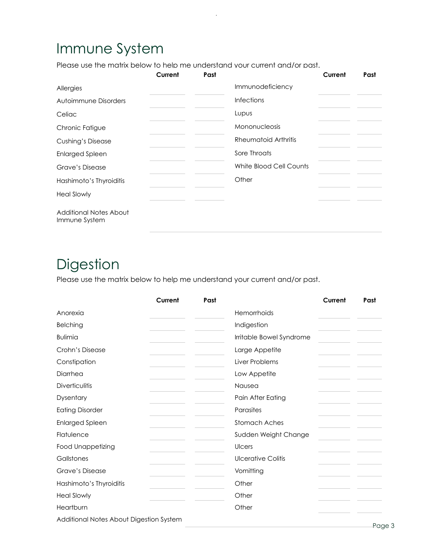## Immune System

Please use the matrix below to help me understand your current and/or past.

|                                         | Current | Past |                         | Current | Past |
|-----------------------------------------|---------|------|-------------------------|---------|------|
| Allergies                               |         |      | Immunodeficiency        |         |      |
| Autoimmune Disorders                    |         |      | <b>Infections</b>       |         |      |
| Celiac                                  |         |      | Lupus                   |         |      |
| Chronic Fatigue                         |         |      | Mononucleosis           |         |      |
| <b>Cushing's Disease</b>                |         |      | Rheumatoid Arthritis    |         |      |
| <b>Enlarged Spleen</b>                  |         |      | Sore Throats            |         |      |
| Grave's Disease                         |         |      | White Blood Cell Counts |         |      |
| Hashimoto's Thyroiditis                 |         |      | Other                   |         |      |
| <b>Heal Slowly</b>                      |         |      |                         |         |      |
| Additional Notes About<br>Immune System |         |      |                         |         |      |

## **Digestion**

Please use the matrix below to help me understand your current and/or past.

|                                         | Current | Past |                           | Current | Past    |
|-----------------------------------------|---------|------|---------------------------|---------|---------|
| Anorexia                                |         |      | Hemorrhoids               |         |         |
| <b>Belching</b>                         |         |      | Indigestion               |         |         |
| <b>Bulimia</b>                          |         |      | Irritable Bowel Syndrome  |         |         |
| Crohn's Disease                         |         |      | Large Appetite            |         |         |
| Constipation                            |         |      | Liver Problems            |         |         |
| Diarrhea                                |         |      | Low Appetite              |         |         |
| <b>Diverticulitis</b>                   |         |      | Nausea                    |         |         |
| Dysentary                               |         |      | Pain After Eating         |         |         |
| <b>Eating Disorder</b>                  |         |      | Parasites                 |         |         |
| <b>Enlarged Spleen</b>                  |         |      | Stomach Aches             |         |         |
| Flatulence                              |         |      | Sudden Weight Change      |         |         |
| <b>Food Unappetizing</b>                |         |      | Ulcers                    |         |         |
| Gallstones                              |         |      | <b>Ulcerative Colitis</b> |         |         |
| <b>Grave's Disease</b>                  |         |      | Vomitting                 |         |         |
| Hashimoto's Thyroiditis                 |         |      | Other                     |         |         |
| <b>Heal Slowly</b>                      |         |      | Other                     |         |         |
| Heartburn                               |         |      | Other                     |         |         |
| Additional Notes About Digestion System |         |      |                           |         | $D - 4$ |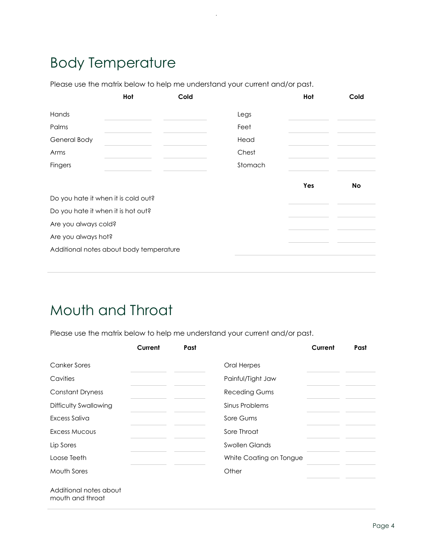## Body Temperature

Please use the matrix below to help me understand your current and/or past.

|                                         | Hot | Cold |         | Hot | Cold      |
|-----------------------------------------|-----|------|---------|-----|-----------|
| Hands                                   |     |      | Legs    |     |           |
| Palms                                   |     |      | Feet    |     |           |
| General Body                            |     |      | Head    |     |           |
| Arms                                    |     |      | Chest   |     |           |
| <b>Fingers</b>                          |     |      | Stomach |     |           |
|                                         |     |      |         | Yes | <b>No</b> |
| Do you hate it when it is cold out?     |     |      |         |     |           |
| Do you hate it when it is hot out?      |     |      |         |     |           |
| Are you always cold?                    |     |      |         |     |           |
| Are you always hot?                     |     |      |         |     |           |
| Additional notes about body temperature |     |      |         |     |           |
|                                         |     |      |         |     |           |

## Mouth and Throat

Please use the matrix below to help me understand your current and/or past.

|                                            | Current | Past |                         | Current | Past |
|--------------------------------------------|---------|------|-------------------------|---------|------|
| <b>Canker Sores</b>                        |         |      | Oral Herpes             |         |      |
| Cavities                                   |         |      | Painful/Tight Jaw       |         |      |
| <b>Constant Dryness</b>                    |         |      | <b>Receding Gums</b>    |         |      |
| Difficulty Swallowing                      |         |      | Sinus Problems          |         |      |
| Excess Saliva                              |         |      | Sore Gums               |         |      |
| Excess Mucous                              |         |      | Sore Throat             |         |      |
| Lip Sores                                  |         |      | <b>Swollen Glands</b>   |         |      |
| Loose Teeth                                |         |      | White Coating on Tongue |         |      |
| Mouth Sores                                |         |      | Other                   |         |      |
| Additional notes about<br>mouth and throat |         |      |                         |         |      |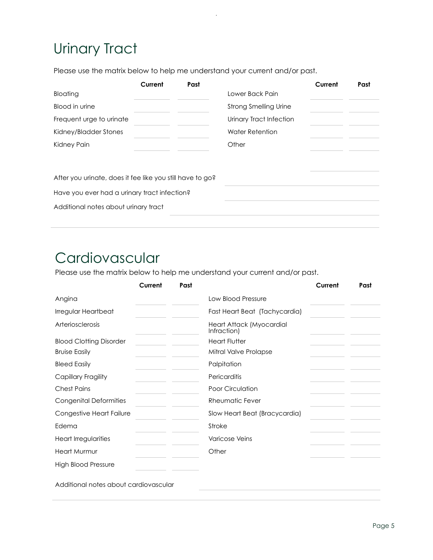# Urinary Tract

Please use the matrix below to help me understand your current and/or past.

|                                                           | Current | Past |                              | Current | Past |
|-----------------------------------------------------------|---------|------|------------------------------|---------|------|
| Bloating                                                  |         |      | Lower Back Pain              |         |      |
| Blood in urine                                            |         |      | <b>Strong Smelling Urine</b> |         |      |
| Frequent urge to urinate                                  |         |      | Urinary Tract Infection      |         |      |
| Kidney/Bladder Stones                                     |         |      | Water Retention              |         |      |
| Kidney Pain                                               |         |      | Other                        |         |      |
|                                                           |         |      |                              |         |      |
| After you urinate, does it fee like you still have to go? |         |      |                              |         |      |
| Have you ever had a urinary tract infection?              |         |      |                              |         |      |
| Additional notes about urinary tract                      |         |      |                              |         |      |
|                                                           |         |      |                              |         |      |

### Cardiovascular

Please use the matrix below to help me understand your current and/or past.

|                                | Current | Past |                                         | Current | Past |
|--------------------------------|---------|------|-----------------------------------------|---------|------|
| Angina                         |         |      | Low Blood Pressure                      |         |      |
| Irregular Heartbeat            |         |      | Fast Heart Beat (Tachycardia)           |         |      |
| <b>Arteriosclerosis</b>        |         |      | Heart Attack (Myocardial<br>Infraction) |         |      |
| <b>Blood Clotting Disorder</b> |         |      | <b>Heart Flutter</b>                    |         |      |
| <b>Bruise Easily</b>           |         |      | Mitral Valve Prolapse                   |         |      |
| <b>Bleed Easily</b>            |         |      | Palpitation                             |         |      |
| Capillary Fragility            |         |      | Pericarditis                            |         |      |
| <b>Chest Pains</b>             |         |      | Poor Circulation                        |         |      |
| <b>Congenital Deformities</b>  |         |      | Rheumatic Fever                         |         |      |
| Congestive Heart Failure       |         |      | Slow Heart Beat (Bracycardia)           |         |      |
| Edema                          |         |      | Stroke                                  |         |      |
| Heart Irregularities           |         |      | <b>Varicose Veins</b>                   |         |      |
| <b>Heart Murmur</b>            |         |      | Other                                   |         |      |
| <b>High Blood Pressure</b>     |         |      |                                         |         |      |

Additional notes about cardiovascular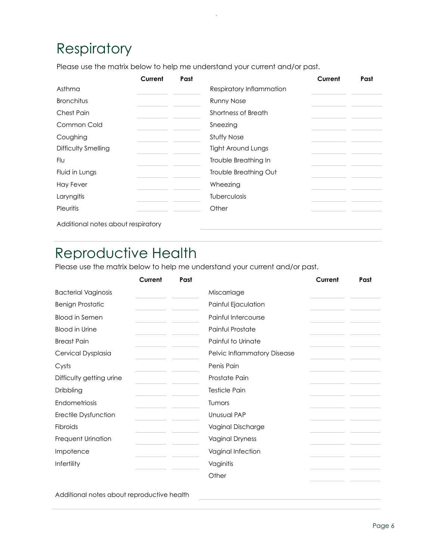## Respiratory

Please use the matrix below to help me understand your current and/or past.

|                     | Current | Past |                           | Current | Past |
|---------------------|---------|------|---------------------------|---------|------|
| Asthma              |         |      | Respiratory Inflammation  |         |      |
| <b>Bronchitus</b>   |         |      | <b>Runny Nose</b>         |         |      |
| <b>Chest Pain</b>   |         |      | Shortness of Breath       |         |      |
| Common Cold         |         |      | Sneezing                  |         |      |
| Coughing            |         |      | <b>Stuffy Nose</b>        |         |      |
| Difficulty Smelling |         |      | <b>Tight Around Lungs</b> |         |      |
| Flu                 |         |      | Trouble Breathing In      |         |      |
| Fluid in Lungs      |         |      | Trouble Breathing Out     |         |      |
| <b>Hay Fever</b>    |         |      | Wheezing                  |         |      |
| Laryngitis          |         |      | Tuberculosis              |         |      |
| Pleuritis           |         |      | Other                     |         |      |

Additional notes about respiratory

### Reproductive Health

Please use the matrix below to help me understand your current and/or past.

|                            | Current | Past |                             | Current | Past |
|----------------------------|---------|------|-----------------------------|---------|------|
| <b>Bacterial Vaginosis</b> |         |      | Miscarriage                 |         |      |
| <b>Benign Prostatic</b>    |         |      | Painful Ejaculation         |         |      |
| <b>Blood in Semen</b>      |         |      | Painful Intercourse         |         |      |
| <b>Blood in Urine</b>      |         |      | Painful Prostate            |         |      |
| <b>Breast Pain</b>         |         |      | Painful to Urinate          |         |      |
| Cervical Dysplasia         |         |      | Pelvic Inflammatory Disease |         |      |
| Cysts                      |         |      | Penis Pain                  |         |      |
| Difficulty getting urine   |         |      | Prostate Pain               |         |      |
| Dribbling                  |         |      | <b>Testicle Pain</b>        |         |      |
| Endometriosis              |         |      | Tumors                      |         |      |
| Erectile Dysfunction       |         |      | Unusual PAP                 |         |      |
| <b>Fibroids</b>            |         |      | Vaginal Discharge           |         |      |
| Frequent Urination         |         |      | <b>Vaginal Dryness</b>      |         |      |
| Impotence                  |         |      | Vaginal Infection           |         |      |
| Infertility                |         |      | Vaginitis                   |         |      |
|                            |         |      | Other                       |         |      |

Additional notes about reproductive health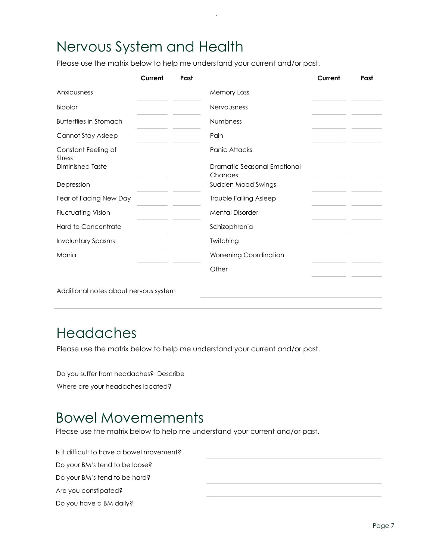## Nervous System and Health

Please use the matrix below to help me understand your current and/or past.

|                                       | Current | Past |                                        | Current | Past |
|---------------------------------------|---------|------|----------------------------------------|---------|------|
| Anxiousness                           |         |      | <b>Memory Loss</b>                     |         |      |
| Bipolar                               |         |      | Nervousness                            |         |      |
| <b>Butterflies in Stomach</b>         |         |      | <b>Numbness</b>                        |         |      |
| Cannot Stay Asleep                    |         |      | Pain                                   |         |      |
| Constant Feeling of<br>Stress         |         |      | Panic Attacks                          |         |      |
| Diminished Taste                      |         |      | Dramatic Seasonal Emotional<br>Chanaes |         |      |
| Depression                            |         |      | Sudden Mood Swings                     |         |      |
| Fear of Facing New Day                |         |      | Trouble Falling Asleep                 |         |      |
| <b>Fluctuating Vision</b>             |         |      | <b>Mental Disorder</b>                 |         |      |
| <b>Hard to Concentrate</b>            |         |      | Schizophrenia                          |         |      |
| <b>Involuntary Spasms</b>             |         |      | Twitching                              |         |      |
| Mania                                 |         |      | <b>Worsening Coordination</b>          |         |      |
|                                       |         |      | Other                                  |         |      |
| Additional notes about nervous system |         |      |                                        |         |      |

#### Headaches

Please use the matrix below to help me understand your current and/or past.

| Do you suffer from headaches? Describe |  |
|----------------------------------------|--|
| Where are your headaches located?      |  |
|                                        |  |

#### Bowel Movemements

Please use the matrix below to help me understand your current and/or past.

Is it difficult to have a bowel movement? Do your BM's tend to be loose? Do your BM's tend to be hard? Are you constipated? Do you have a BM daily?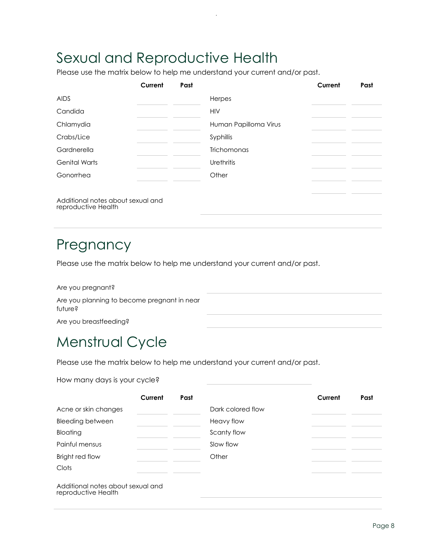## Sexual and Reproductive Health

Please use the matrix below to help me understand your current and/or past.

|                                                          | Current | Past |                       | Current | Past |
|----------------------------------------------------------|---------|------|-----------------------|---------|------|
| <b>AIDS</b>                                              |         |      | Herpes                |         |      |
| Candida                                                  |         |      | <b>HIV</b>            |         |      |
| Chlamydia                                                |         |      | Human Papilloma Virus |         |      |
| Crabs/Lice                                               |         |      | Syphillis             |         |      |
| Gardnerella                                              |         |      | <b>Trichomonas</b>    |         |      |
| <b>Genital Warts</b>                                     |         |      | Urethritis            |         |      |
| Gonorrhea                                                |         |      | Other                 |         |      |
|                                                          |         |      |                       |         |      |
| Additional notes about sexual and<br>reproductive Health |         |      |                       |         |      |

### Pregnancy

Please use the matrix below to help me understand your current and/or past.

Are you pregnant? Are you planning to become pregnant in near future? Are you breastfeeding?

### Menstrual Cycle

Please use the matrix below to help me understand your current and/or past.

#### How many days is your cycle?

|                                   | Current | Past |                   | Current | Past |
|-----------------------------------|---------|------|-------------------|---------|------|
| Acne or skin changes              |         |      | Dark colored flow |         |      |
| <b>Bleeding between</b>           |         |      | Heavy flow        |         |      |
| Bloating                          |         |      | Scanty flow       |         |      |
| Painful mensus                    |         |      | Slow flow         |         |      |
| Bright red flow                   |         |      | Other             |         |      |
| Clots                             |         |      |                   |         |      |
| Additional notes about sexual and |         |      |                   |         |      |

reproductive Health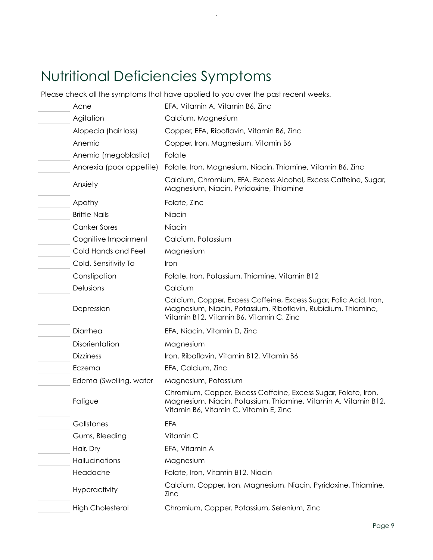# Nutritional Deficiencies Symptoms

Please check all the symptoms that have applied to you over the past recent weeks.

 $\bar{z}$ 

| Acne                     | EFA, Vitamin A, Vitamin B6, Zinc                                                                                                                                               |
|--------------------------|--------------------------------------------------------------------------------------------------------------------------------------------------------------------------------|
| Agitation                | Calcium, Magnesium                                                                                                                                                             |
| Alopecia (hair loss)     | Copper, EFA, Riboflavin, Vitamin B6, Zinc                                                                                                                                      |
| Anemia                   | Copper, Iron, Magnesium, Vitamin B6                                                                                                                                            |
| Anemia (megoblastic)     | Folate                                                                                                                                                                         |
| Anorexia (poor appetite) | Folate, Iron, Magnesium, Niacin, Thiamine, Vitamin B6, Zinc                                                                                                                    |
| Anxiety                  | Calcium, Chromium, EFA, Excess Alcohol, Excess Caffeine, Sugar,<br>Magnesium, Niacin, Pyridoxine, Thiamine                                                                     |
| Apathy                   | Folate, Zinc                                                                                                                                                                   |
| <b>Brittle Nails</b>     | Niacin                                                                                                                                                                         |
| <b>Canker Sores</b>      | Niacin                                                                                                                                                                         |
| Cognitive Impairment     | Calcium, Potassium                                                                                                                                                             |
| Cold Hands and Feet      | Magnesium                                                                                                                                                                      |
| Cold, Sensitivity To     | Iron                                                                                                                                                                           |
| Constipation             | Folate, Iron, Potassium, Thiamine, Vitamin B12                                                                                                                                 |
| Delusions                | Calcium                                                                                                                                                                        |
| Depression               | Calcium, Copper, Excess Caffeine, Excess Sugar, Folic Acid, Iron,<br>Magnesium, Niacin, Potassium, Riboflavin, Rubidium, Thiamine,<br>Vitamin B12, Vitamin B6, Vitamin C, Zinc |
| Diarrhea                 | EFA, Niacin, Vitamin D, Zinc                                                                                                                                                   |
| Disorientation           | Magnesium                                                                                                                                                                      |
| <b>Dizziness</b>         | Iron, Riboflavin, Vitamin B12, Vitamin B6                                                                                                                                      |
| Eczema                   | EFA, Calcium, Zinc                                                                                                                                                             |
| Edema (Swelling, water   | Magnesium, Potassium                                                                                                                                                           |
| Fatigue                  | Chromium, Copper, Excess Caffeine, Excess Sugar, Folate, Iron,<br>Magnesium, Niacin, Potassium, Thiamine, Vitamin A, Vitamin B12,<br>Vitamin B6, Vitamin C, Vitamin E, Zinc    |
| Gallstones               | <b>EFA</b>                                                                                                                                                                     |
| Gums, Bleeding           | Vitamin C                                                                                                                                                                      |
| Hair, Dry                | EFA, Vitamin A                                                                                                                                                                 |
| Hallucinations           | Magnesium                                                                                                                                                                      |
| Headache                 | Folate, Iron, Vitamin B12, Niacin                                                                                                                                              |
| Hyperactivity            | Calcium, Copper, Iron, Magnesium, Niacin, Pyridoxine, Thiamine,<br>Zinc                                                                                                        |
| <b>High Cholesterol</b>  | Chromium, Copper, Potassium, Selenium, Zinc                                                                                                                                    |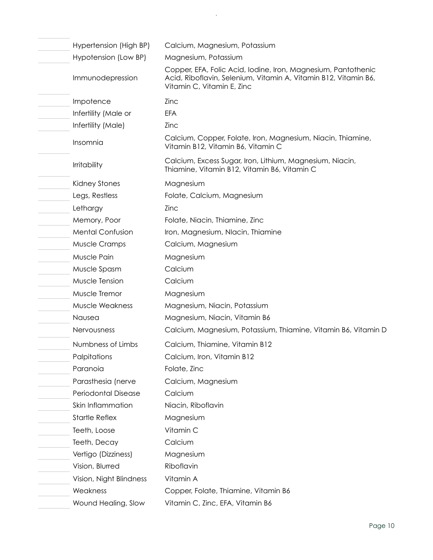| Hypertension (High BP)  | Calcium, Magnesium, Potassium                                                                                                                                  |
|-------------------------|----------------------------------------------------------------------------------------------------------------------------------------------------------------|
| Hypotension (Low BP)    | Magnesium, Potassium                                                                                                                                           |
| Immunodepression        | Copper, EFA, Folic Acid, Iodine, Iron, Magnesium, Pantothenic<br>Acid, Riboflavin, Selenium, Vitamin A, Vitamin B12, Vitamin B6,<br>Vitamin C, Vitamin E, Zinc |
| Impotence               | Zinc                                                                                                                                                           |
| Infertility (Male or    | <b>EFA</b>                                                                                                                                                     |
| Infertility (Male)      | Zinc                                                                                                                                                           |
| Insomnia                | Calcium, Copper, Folate, Iron, Magnesium, Niacin, Thiamine,<br>Vitamin B12, Vitamin B6, Vitamin C                                                              |
| <b>Irritability</b>     | Calcium, Excess Sugar, Iron, Lithium, Magnesium, Niacin,<br>Thiamine, Vitamin B12, Vitamin B6, Vitamin C                                                       |
| Kidney Stones           | Magnesium                                                                                                                                                      |
| Legs, Restless          | Folate, Calcium, Magnesium                                                                                                                                     |
| Lethargy                | Zinc                                                                                                                                                           |
| Memory, Poor            | Folate, Niacin, Thiamine, Zinc                                                                                                                                 |
| <b>Mental Confusion</b> | Iron, Magnesium, Nlacin, Thiamine                                                                                                                              |
| Muscle Cramps           | Calcium, Magnesium                                                                                                                                             |
| Muscle Pain             | Magnesium                                                                                                                                                      |
| Muscle Spasm            | Calcium                                                                                                                                                        |
| Muscle Tension          | Calcium                                                                                                                                                        |
| Muscle Tremor           | Magnesium                                                                                                                                                      |
| <b>Muscle Weakness</b>  | Magnesium, Niacin, Potassium                                                                                                                                   |
| Nausea                  | Magnesium, Niacin, Vitamin B6                                                                                                                                  |
| Nervousness             | Calcium, Magnesium, Potassium, Thiamine, Vitamin B6, Vitamin D                                                                                                 |
| Numbness of Limbs       | Calcium, Thiamine, Vitamin B12                                                                                                                                 |
| Palpitations            | Calcium, Iron, Vitamin B12                                                                                                                                     |
| Paranoia                | Folate, Zinc                                                                                                                                                   |
| Parasthesia (nerve      | Calcium, Magnesium                                                                                                                                             |
| Periodontal Disease     | Calcium                                                                                                                                                        |
| Skin Inflammation       | Niacin, Riboflavin                                                                                                                                             |
| <b>Startle Reflex</b>   | Magnesium                                                                                                                                                      |
| Teeth, Loose            | Vitamin C                                                                                                                                                      |
| Teeth, Decay            | Calcium                                                                                                                                                        |
| Vertigo (Dizziness)     | Magnesium                                                                                                                                                      |
| Vision, Blurred         | Riboflavin                                                                                                                                                     |
| Vision, Night Blindness | Vitamin A                                                                                                                                                      |
| Weakness                | Copper, Folate, Thiamine, Vitamin B6                                                                                                                           |
| Wound Healing, Slow     | Vitamin C, Zinc, EFA, Vitamin B6                                                                                                                               |
|                         |                                                                                                                                                                |

 $\mathcal{A}$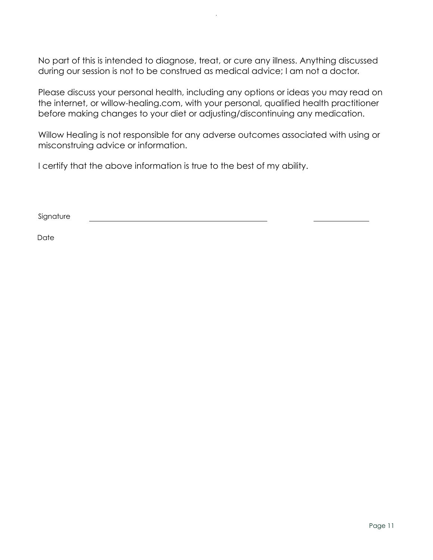No part of this is intended to diagnose, treat, or cure any illness. Anything discussed during our session is not to be construed as medical advice; I am not a doctor.

Please discuss your personal health, including any options or ideas you may read on the internet, or willow-healing.com, with your personal, qualified health practitioner before making changes to your diet or adjusting/discontinuing any medication.

Willow Healing is not responsible for any adverse outcomes associated with using or misconstruing advice or information.

I certify that the above information is true to the best of my ability.

Signature

**Date**